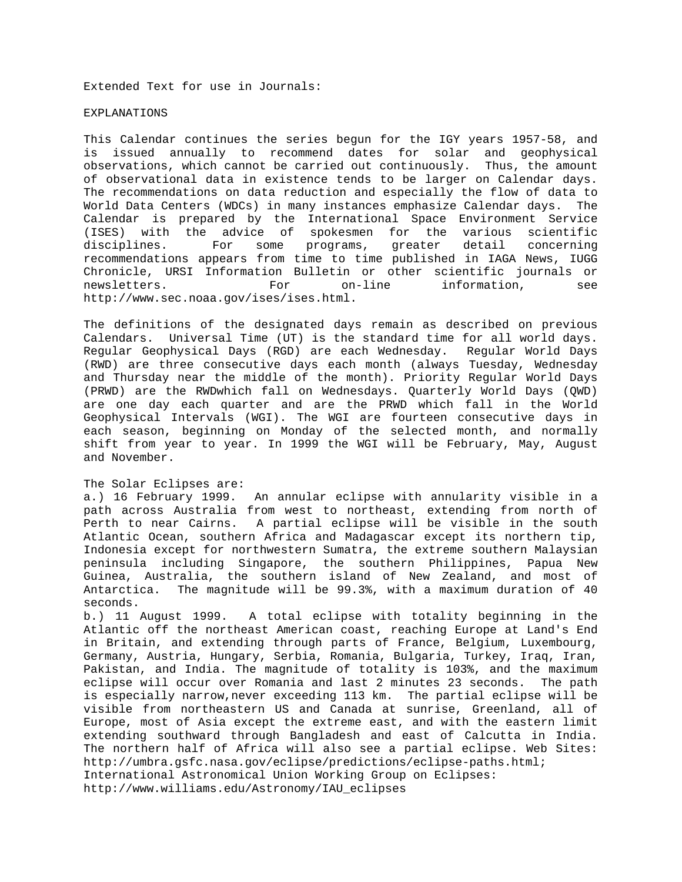Extended Text for use in Journals:

## EXPLANATIONS

This Calendar continues the series begun for the IGY years 1957-58, and is issued annually to recommend dates for solar and geophysical observations, which cannot be carried out continuously. Thus, the amount of observational data in existence tends to be larger on Calendar days. The recommendations on data reduction and especially the flow of data to World Data Centers (WDCs) in many instances emphasize Calendar days. The Calendar is prepared by the International Space Environment Service (ISES) with the advice of spokesmen for the various scientific disciplines. For some programs, greater detail concerning recommendations appears from time to time published in IAGA News, IUGG Chronicle, URSI Information Bulletin or other scientific journals or newsletters. For on-line information, see http://www.sec.noaa.gov/ises/ises.html.

The definitions of the designated days remain as described on previous Calendars. Universal Time (UT) is the standard time for all world days. Regular Geophysical Days (RGD) are each Wednesday. Regular World Days (RWD) are three consecutive days each month (always Tuesday, Wednesday and Thursday near the middle of the month). Priority Regular World Days (PRWD) are the RWDwhich fall on Wednesdays. Quarterly World Days (QWD) are one day each quarter and are the PRWD which fall in the World Geophysical Intervals (WGI). The WGI are fourteen consecutive days in each season, beginning on Monday of the selected month, and normally shift from year to year. In 1999 the WGI will be February, May, August and November.

## The Solar Eclipses are:

a.) 16 February 1999. An annular eclipse with annularity visible in a path across Australia from west to northeast, extending from north of Perth to near Cairns. A partial eclipse will be visible in the south Atlantic Ocean, southern Africa and Madagascar except its northern tip, Indonesia except for northwestern Sumatra, the extreme southern Malaysian peninsula including Singapore, the southern Philippines, Papua New Guinea, Australia, the southern island of New Zealand, and most of Antarctica. The magnitude will be 99.3%, with a maximum duration of 40 seconds.

b.) 11 August 1999. A total eclipse with totality beginning in the Atlantic off the northeast American coast, reaching Europe at Land's End in Britain, and extending through parts of France, Belgium, Luxembourg, Germany, Austria, Hungary, Serbia, Romania, Bulgaria, Turkey, Iraq, Iran, Pakistan, and India. The magnitude of totality is 103%, and the maximum eclipse will occur over Romania and last 2 minutes 23 seconds. The path is especially narrow,never exceeding 113 km. The partial eclipse will be visible from northeastern US and Canada at sunrise, Greenland, all of Europe, most of Asia except the extreme east, and with the eastern limit extending southward through Bangladesh and east of Calcutta in India. The northern half of Africa will also see a partial eclipse. Web Sites: http://umbra.gsfc.nasa.gov/eclipse/predictions/eclipse-paths.html; International Astronomical Union Working Group on Eclipses: http://www.williams.edu/Astronomy/IAU\_eclipses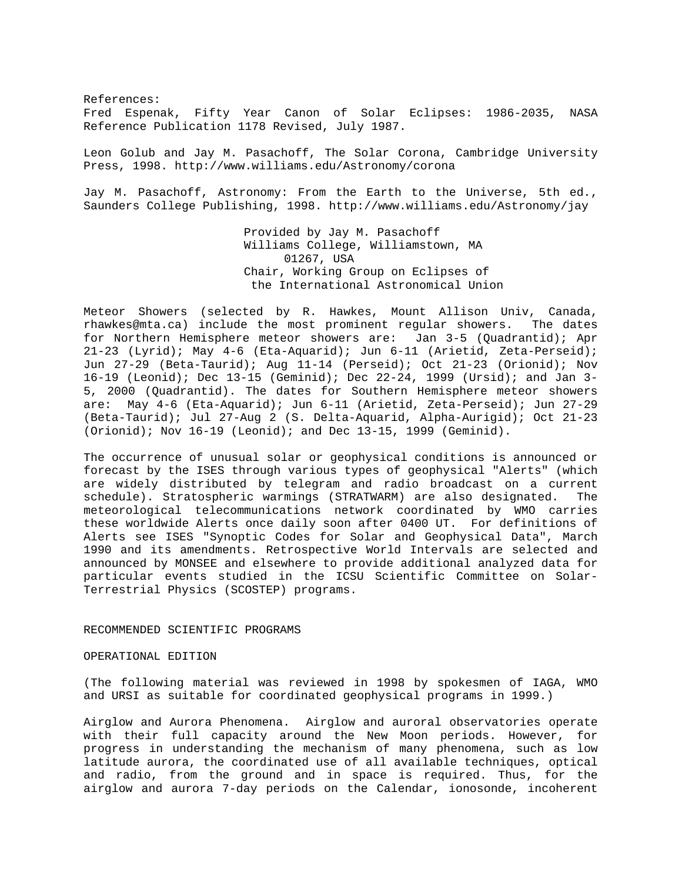References: Fred Espenak, Fifty Year Canon of Solar Eclipses: 1986-2035, NASA Reference Publication 1178 Revised, July 1987.

Leon Golub and Jay M. Pasachoff, The Solar Corona, Cambridge University Press, 1998. http://www.williams.edu/Astronomy/corona

Jay M. Pasachoff, Astronomy: From the Earth to the Universe, 5th ed., Saunders College Publishing, 1998. http://www.williams.edu/Astronomy/jay

> Provided by Jay M. Pasachoff Williams College, Williamstown, MA 01267, USA Chair, Working Group on Eclipses of the International Astronomical Union

Meteor Showers (selected by R. Hawkes, Mount Allison Univ, Canada, rhawkes@mta.ca) include the most prominent regular showers. The dates for Northern Hemisphere meteor showers are: Jan 3-5 (Quadrantid); Apr 21-23 (Lyrid); May 4-6 (Eta-Aquarid); Jun 6-11 (Arietid, Zeta-Perseid); Jun 27-29 (Beta-Taurid); Aug 11-14 (Perseid); Oct 21-23 (Orionid); Nov 16-19 (Leonid); Dec 13-15 (Geminid); Dec 22-24, 1999 (Ursid); and Jan 3- 5, 2000 (Quadrantid). The dates for Southern Hemisphere meteor showers are: May 4-6 (Eta-Aquarid); Jun 6-11 (Arietid, Zeta-Perseid); Jun 27-29 (Beta-Taurid); Jul 27-Aug 2 (S. Delta-Aquarid, Alpha-Aurigid); Oct 21-23 (Orionid); Nov 16-19 (Leonid); and Dec 13-15, 1999 (Geminid).

The occurrence of unusual solar or geophysical conditions is announced or forecast by the ISES through various types of geophysical "Alerts" (which are widely distributed by telegram and radio broadcast on a current schedule). Stratospheric warmings (STRATWARM) are also designated. The meteorological telecommunications network coordinated by WMO carries these worldwide Alerts once daily soon after 0400 UT. For definitions of Alerts see ISES "Synoptic Codes for Solar and Geophysical Data", March 1990 and its amendments. Retrospective World Intervals are selected and announced by MONSEE and elsewhere to provide additional analyzed data for particular events studied in the ICSU Scientific Committee on Solar-Terrestrial Physics (SCOSTEP) programs.

RECOMMENDED SCIENTIFIC PROGRAMS

OPERATIONAL EDITION

(The following material was reviewed in 1998 by spokesmen of IAGA, WMO and URSI as suitable for coordinated geophysical programs in 1999.)

Airglow and Aurora Phenomena. Airglow and auroral observatories operate with their full capacity around the New Moon periods. However, for progress in understanding the mechanism of many phenomena, such as low latitude aurora, the coordinated use of all available techniques, optical and radio, from the ground and in space is required. Thus, for the airglow and aurora 7-day periods on the Calendar, ionosonde, incoherent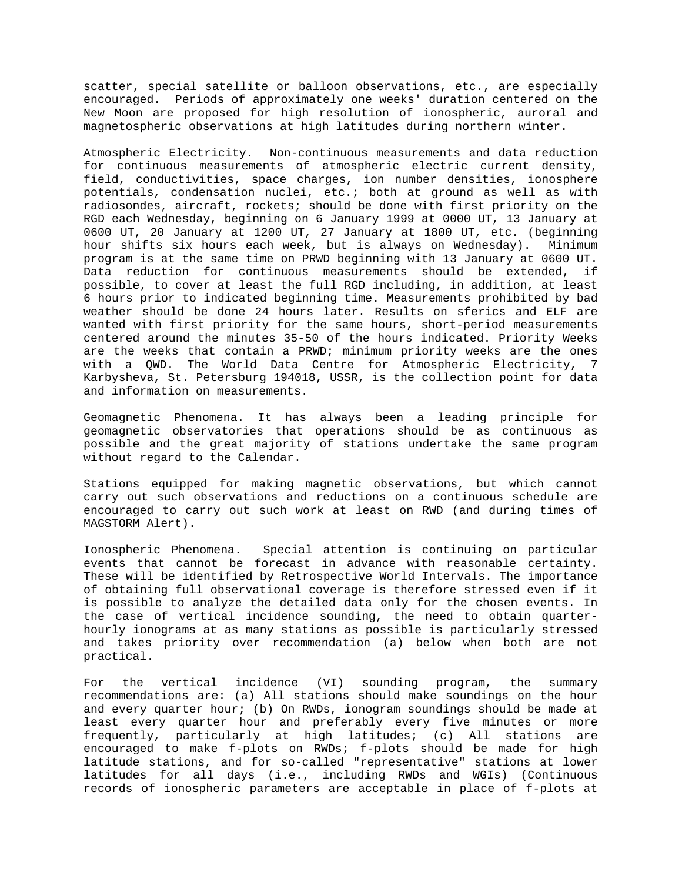scatter, special satellite or balloon observations, etc., are especially encouraged. Periods of approximately one weeks' duration centered on the New Moon are proposed for high resolution of ionospheric, auroral and magnetospheric observations at high latitudes during northern winter.

Atmospheric Electricity. Non-continuous measurements and data reduction for continuous measurements of atmospheric electric current density, field, conductivities, space charges, ion number densities, ionosphere potentials, condensation nuclei, etc.; both at ground as well as with radiosondes, aircraft, rockets; should be done with first priority on the RGD each Wednesday, beginning on 6 January 1999 at 0000 UT, 13 January at 0600 UT, 20 January at 1200 UT, 27 January at 1800 UT, etc. (beginning hour shifts six hours each week, but is always on Wednesday). Minimum program is at the same time on PRWD beginning with 13 January at 0600 UT. Data reduction for continuous measurements should be extended, if possible, to cover at least the full RGD including, in addition, at least 6 hours prior to indicated beginning time. Measurements prohibited by bad weather should be done 24 hours later. Results on sferics and ELF are wanted with first priority for the same hours, short-period measurements centered around the minutes 35-50 of the hours indicated. Priority Weeks are the weeks that contain a PRWD; minimum priority weeks are the ones with a QWD. The World Data Centre for Atmospheric Electricity, 7 Karbysheva, St. Petersburg 194018, USSR, is the collection point for data and information on measurements.

Geomagnetic Phenomena. It has always been a leading principle for geomagnetic observatories that operations should be as continuous as possible and the great majority of stations undertake the same program without regard to the Calendar.

Stations equipped for making magnetic observations, but which cannot carry out such observations and reductions on a continuous schedule are encouraged to carry out such work at least on RWD (and during times of MAGSTORM Alert).

Ionospheric Phenomena. Special attention is continuing on particular events that cannot be forecast in advance with reasonable certainty. These will be identified by Retrospective World Intervals. The importance of obtaining full observational coverage is therefore stressed even if it is possible to analyze the detailed data only for the chosen events. In the case of vertical incidence sounding, the need to obtain quarterhourly ionograms at as many stations as possible is particularly stressed and takes priority over recommendation (a) below when both are not practical.

For the vertical incidence (VI) sounding program, the summary recommendations are: (a) All stations should make soundings on the hour and every quarter hour; (b) On RWDs, ionogram soundings should be made at least every quarter hour and preferably every five minutes or more frequently, particularly at high latitudes; (c) All stations are encouraged to make f-plots on RWDs; f-plots should be made for high latitude stations, and for so-called "representative" stations at lower latitudes for all days (i.e., including RWDs and WGIs) (Continuous records of ionospheric parameters are acceptable in place of f-plots at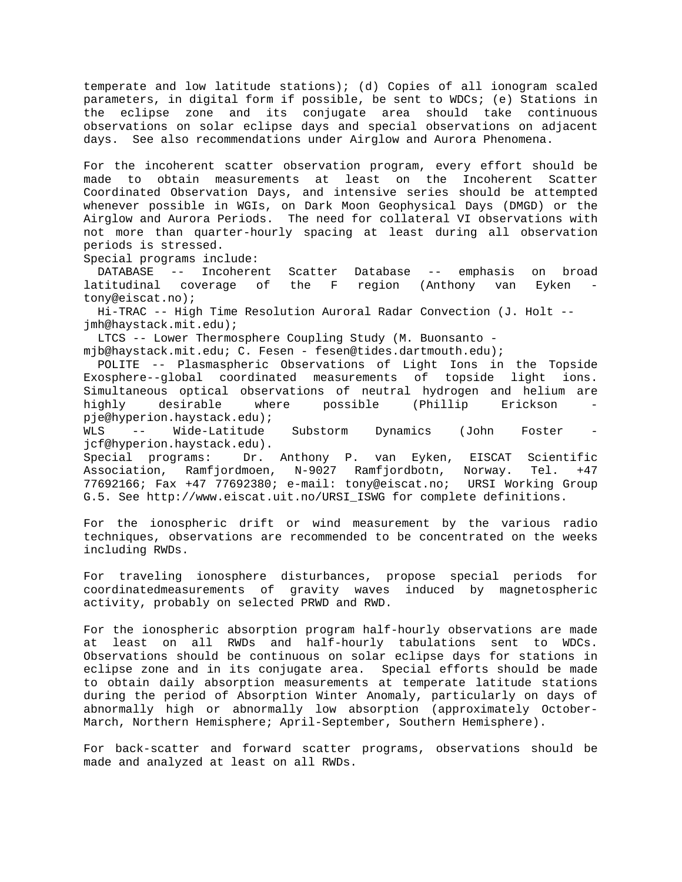temperate and low latitude stations); (d) Copies of all ionogram scaled parameters, in digital form if possible, be sent to WDCs; (e) Stations in the eclipse zone and its conjugate area should take continuous observations on solar eclipse days and special observations on adjacent days. See also recommendations under Airglow and Aurora Phenomena.

For the incoherent scatter observation program, every effort should be made to obtain measurements at least on the Incoherent Scatter Coordinated Observation Days, and intensive series should be attempted whenever possible in WGIs, on Dark Moon Geophysical Days (DMGD) or the Airglow and Aurora Periods. The need for collateral VI observations with not more than quarter-hourly spacing at least during all observation periods is stressed.

Special programs include:

 DATABASE -- Incoherent Scatter Database -- emphasis on broad latitudinal coverage of the F region (Anthony van Eyken tony@eiscat.no);

 Hi-TRAC -- High Time Resolution Auroral Radar Convection (J. Holt - jmh@haystack.mit.edu);

LTCS -- Lower Thermosphere Coupling Study (M. Buonsanto -

mjb@haystack.mit.edu; C. Fesen - fesen@tides.dartmouth.edu);

 POLITE -- Plasmaspheric Observations of Light Ions in the Topside Exosphere--global coordinated measurements of topside light ions. Simultaneous optical observations of neutral hydrogen and helium are highly desirable where possible (Phillip Erickson pje@hyperion.haystack.edu);

WLS -- Wide-Latitude Substorm Dynamics (John Foster jcf@hyperion.haystack.edu).

Special programs: Dr. Anthony P. van Eyken, EISCAT Scientific Association, Ramfjordmoen, N-9027 Ramfjordbotn, Norway. Tel. +47 77692166; Fax +47 77692380; e-mail: tony@eiscat.no; URSI Working Group G.5. See http://www.eiscat.uit.no/URSI\_ISWG for complete definitions.

For the ionospheric drift or wind measurement by the various radio techniques, observations are recommended to be concentrated on the weeks including RWDs.

For traveling ionosphere disturbances, propose special periods for coordinatedmeasurements of gravity waves induced by magnetospheric activity, probably on selected PRWD and RWD.

For the ionospheric absorption program half-hourly observations are made at least on all RWDs and half-hourly tabulations sent to WDCs. Observations should be continuous on solar eclipse days for stations in eclipse zone and in its conjugate area. Special efforts should be made to obtain daily absorption measurements at temperate latitude stations during the period of Absorption Winter Anomaly, particularly on days of abnormally high or abnormally low absorption (approximately October-March, Northern Hemisphere; April-September, Southern Hemisphere).

For back-scatter and forward scatter programs, observations should be made and analyzed at least on all RWDs.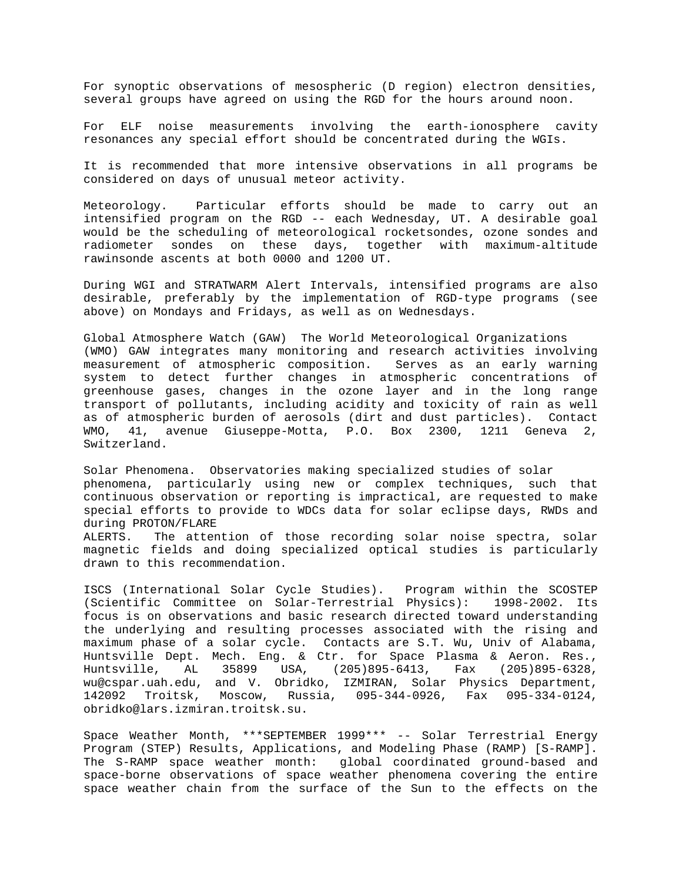For synoptic observations of mesospheric (D region) electron densities, several groups have agreed on using the RGD for the hours around noon.

For ELF noise measurements involving the earth-ionosphere cavity resonances any special effort should be concentrated during the WGIs.

It is recommended that more intensive observations in all programs be considered on days of unusual meteor activity.

Meteorology. Particular efforts should be made to carry out an intensified program on the RGD -- each Wednesday, UT. A desirable goal would be the scheduling of meteorological rocketsondes, ozone sondes and radiometer sondes on these days, together with maximum-altitude rawinsonde ascents at both 0000 and 1200 UT.

During WGI and STRATWARM Alert Intervals, intensified programs are also desirable, preferably by the implementation of RGD-type programs (see above) on Mondays and Fridays, as well as on Wednesdays.

Global Atmosphere Watch (GAW) The World Meteorological Organizations (WMO) GAW integrates many monitoring and research activities involving measurement of atmospheric composition. Serves as an early warning system to detect further changes in atmospheric concentrations of greenhouse gases, changes in the ozone layer and in the long range transport of pollutants, including acidity and toxicity of rain as well as of atmospheric burden of aerosols (dirt and dust particles). Contact WMO, 41, avenue Giuseppe-Motta, P.O. Box 2300, 1211 Geneva 2, Switzerland.

Solar Phenomena. Observatories making specialized studies of solar phenomena, particularly using new or complex techniques, such that continuous observation or reporting is impractical, are requested to make special efforts to provide to WDCs data for solar eclipse days, RWDs and during PROTON/FLARE

ALERTS. The attention of those recording solar noise spectra, solar magnetic fields and doing specialized optical studies is particularly drawn to this recommendation.

ISCS (International Solar Cycle Studies). Program within the SCOSTEP (Scientific Committee on Solar-Terrestrial Physics): 1998-2002. Its focus is on observations and basic research directed toward understanding the underlying and resulting processes associated with the rising and maximum phase of a solar cycle. Contacts are S.T. Wu, Univ of Alabama, Huntsville Dept. Mech. Eng. & Ctr. for Space Plasma & Aeron. Res., Huntsville, AL 35899 USA, (205)895-6413, Fax (205)895-6328, wu@cspar.uah.edu, and V. Obridko, IZMIRAN, Solar Physics Department, 142092 Troitsk, Moscow, Russia, 095-344-0926, Fax 095-334-0124, obridko@lars.izmiran.troitsk.su.

Space Weather Month, \*\*\*SEPTEMBER 1999\*\*\* -- Solar Terrestrial Energy Program (STEP) Results, Applications, and Modeling Phase (RAMP) [S-RAMP]. The S-RAMP space weather month: global coordinated ground-based and space-borne observations of space weather phenomena covering the entire space weather chain from the surface of the Sun to the effects on the